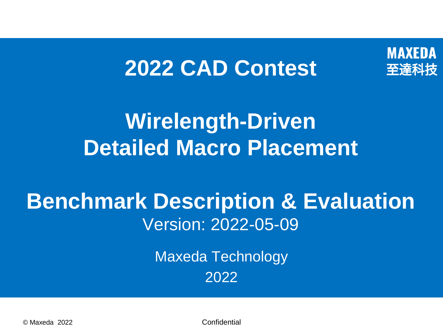#### **MAXEDA** 至達科技

### **2022 CAD Contest**

### **Wirelength-Driven Detailed Macro Placement**

### **Benchmark Description & Evaluation** Version: 2022-05-09

Maxeda Technology 2022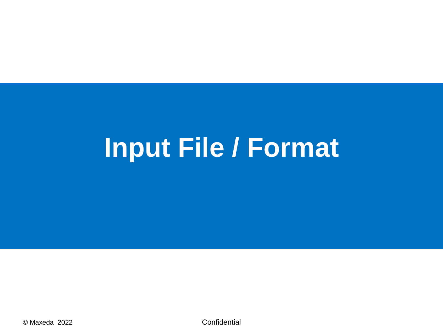# **Input File / Format**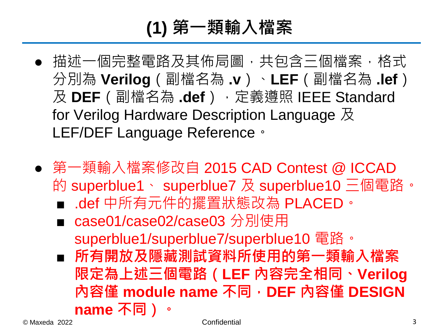### **(1) 第一類輸入檔案**

- 描述一個完整電路及其佈局圖,共包含三個檔案,格式 分別為 **Verilog**(副檔名為 **.v**)、**LEF**(副檔名為 **.lef**) 及 **DEF**(副檔名為 **.def**),定義遵照 IEEE Standard for Verilog Hardware Description Language 及 LEF/DEF Language Reference。
- 第一類輸入檔案修改自 2015 CAD Contest @ ICCAD 的 superblue1、 superblue7 及 superblue10 三個電路。
	- .def 中所有元件的擺置狀態改為 PLACED。
	- case01/case02/case03 分別使用 superblue1/superblue7/superblue10 電路。
	- **所有開放及隱藏測試資料所使用的第一類輸入檔案 限定為上述三個電路(LEF 內容完全相同、Verilog 內容僅 module name 不同,DEF 內容僅 DESIGN name 不同)。**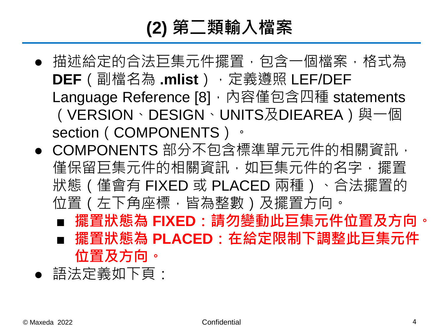### **(2) 第二類輸入檔案**

- 描述給定的合法巨集元件擺置,包含一個檔案,格式為 **DEF**(副檔名為 **.mlist**),定義遵照 LEF/DEF Language Reference [8], 內容僅包含四種 statements (VERSION、DESIGN、UNITS及DIEAREA)與一個 section (COMPONENTS) 。
- COMPONENTS 部分不包含標準單元元件的相關資訊, 僅保留巨集元件的相關資訊,如巨集元件的名字,擺置 狀態(僅會有 FIXED 或 PLACED 兩種)、合法擺置的 位置(左下角座標,皆為整數)及擺置方向。
	- **擺置狀態為 FIXED:請勿變動此巨集元件位置及方向。** ■ **擺置狀態為 PLACED:在給定限制下調整此巨集元件**
	- **位置及方向。**
- 語法定義如下頁: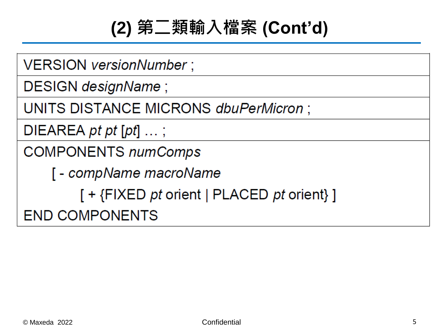### **(2) 第二類輸入檔案 (Cont'd)**

VERSION versionNumber;

DESIGN designName;

UNITS DISTANCE MICRONS dbuPerMicron;

DIEAREA  $pt$   $pt$   $pt$   $pt$   $...$ ;

**COMPONENTS numComps** 

[ - compName macroName

 $[ + {FIXED pt orient | PLACED pt orient} ]$ 

**END COMPONENTS**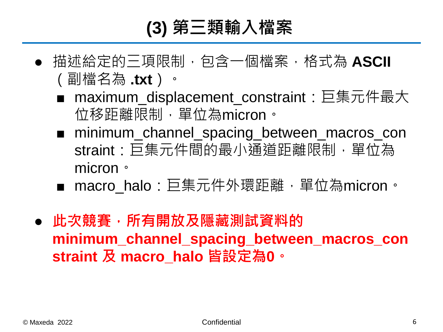### **(3) 第三類輸入檔案**

- 描述給定的三項限制,包含一個檔案,格式為 **ASCII** (副檔名為 **.txt**)。
	- maximum\_displacement\_constraint: 巨集元件最大 位移距離限制,單位為micron。
	- minimum\_channel\_spacing\_between\_macros\_con straint:巨集元件間的最小通道距離限制,單位為 micron。
	- macro halo:巨集元件外環距離,單位為micron。
- **此次競賽,所有開放及隱藏測試資料的 minimum\_channel\_spacing\_between\_macros\_con straint 及 macro\_halo 皆設定為0。**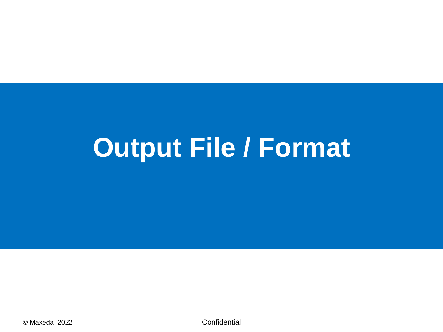# Output File / Format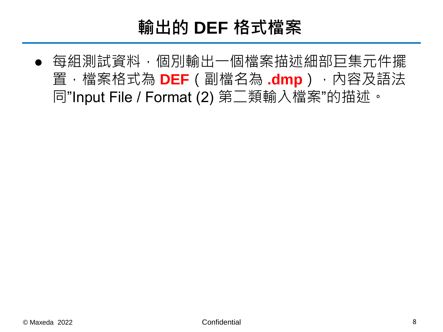### **輸出的 DEF 格式檔案**

● 每組測試資料,個別輸出一個檔案描述細部巨集元件擺 置,檔案格式為 **DEF**(副檔名為 **.dmp**),內容及語法 同"Input File / Format (2) 第二類輸入檔案"的描述。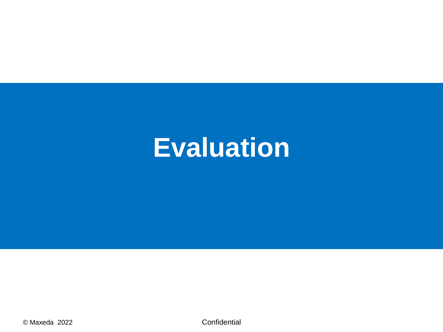### **Evaluation**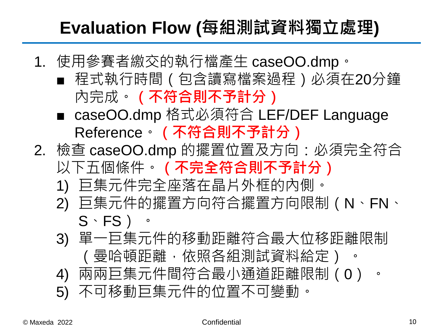#### **Evaluation Flow (每組測試資料獨立處理)**

- 1. 使用參賽者繳交的執行檔產生 caseOO.dmp。
	- 程式執行時間 (包含讀寫檔案過程) 必須在20分鐘 內完成。**(不符合則不予計分)**
	- caseOO.dmp 格式必須符合 LEF/DEF Language Reference。**(不符合則不予計分)**
- 2. 檢查 caseOO.dmp 的擺置位置及方向:必須完全符合 以下五個條件。**(不完全符合則不予計分)**
	- 1) 巨集元件完全座落在晶片外框的內側。
	- 2) 巨集元件的擺置方向符合擺置方向限制(N、FN、  $S \cdot FS$ )  $\cdot$
	- 3) 單一巨集元件的移動距離符合最大位移距離限制 (曼哈頓距離,依照各組測試資料給定) 。
	- 4) 兩兩巨集元件間符合最小通道距離限制(0) 。
	- 5) 不可移動巨集元件的位置不可變動。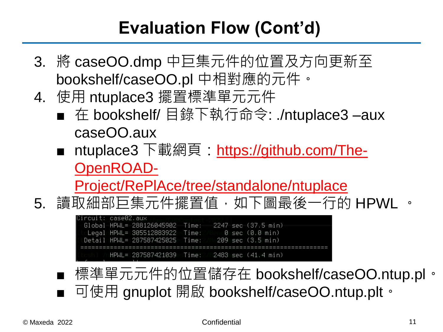#### **Evaluation Flow (Cont'd)**

- 3. 將 caseOO.dmp 中巨集元件的位置及方向更新至 bookshelf/caseOO.pl 中相對應的元件。
- 4. 使用 ntuplace3 擺置標準單元元件
	- 在 bookshelf/ 目錄下執行命令: ./ntuplace3 -aux caseOO.aux
	- ntuplace3 下載網頁: https://github.com/The-OpenROAD-

[Project/RePlAce/tree/standalone/ntuplace](https://github.com/The-OpenROAD-Project/RePlAce/tree/standalone/ntuplace)

5. 讀取細部巨集元件擺置值,如下圖最後一行的 HPWL 。

-case02.aux Global HPWL= 288126045902 Time: 2247 sec (37.5 min) Legal HPWL=1305512883922esTime: :0msec/(0.0min) sTime: 209 sec HPWL=1287587421039 Time:27 2483 sec (41.4 min)

■ 標準單元元件的位置儲存在 bookshelf/caseOO.ntup.pl。 ■ 可使用 gnuplot 開啟 bookshelf/caseOO.ntup.plt。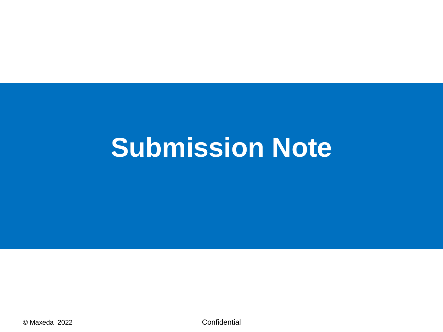## **Submission Note**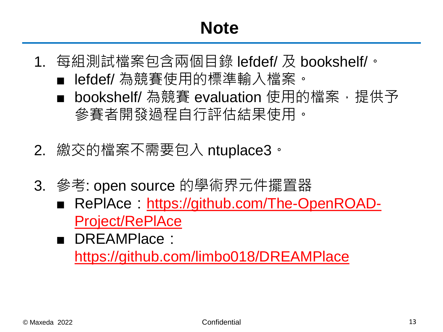#### **Note**

- 1. 每組測試檔案包含兩個目錄 lefdef/ 及 bookshelf/。
	- lefdef/ 為競賽使用的標準輸入檔案。
	- bookshelf/ 為競賽 evaluation 使用的檔案, 提供予 參賽者開發過程自行評估結果使用。
- 2. 繳交的檔案不需要包入 ntuplace3。
- 3. 參考: open source 的學術界元件擺置器
	- RePIAce: [https://github.com/The-OpenROAD-](https://github.com/The-OpenROAD-Project/RePlAce)Project/RePlAce
	- DREAMPlace: <https://github.com/limbo018/DREAMPlace>